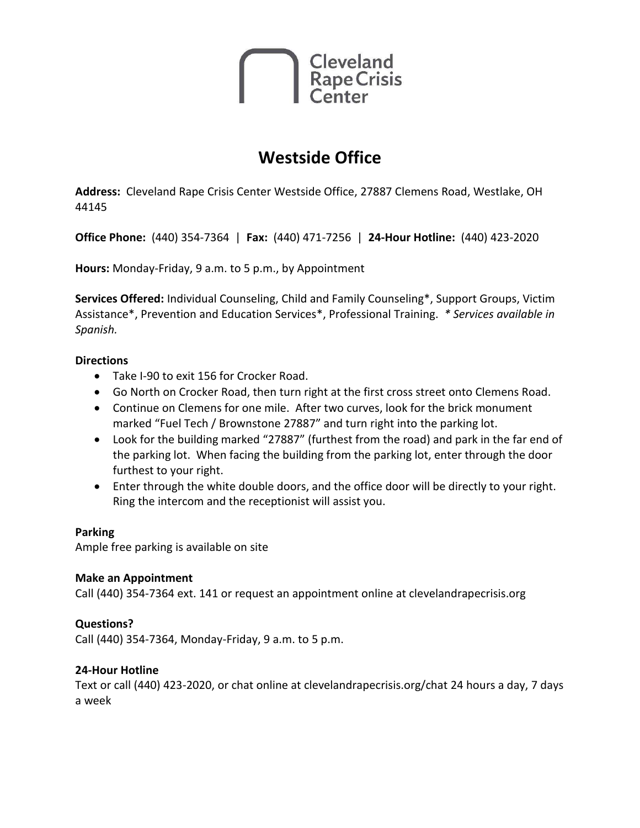

# **Westside Office**

**Address:** Cleveland Rape Crisis Center Westside Office, 27887 Clemens Road, Westlake, OH 44145

**Office Phone:** (440) 354-7364 | **Fax:** (440) 471-7256 | **24-Hour Hotline:** (440) 423-2020

**Hours:** Monday-Friday, 9 a.m. to 5 p.m., by Appointment

**Services Offered:** Individual Counseling, Child and Family Counseling\*, Support Groups, Victim Assistance\*, Prevention and Education Services\*, Professional Training. *\* Services available in Spanish.*

#### **Directions**

- Take I-90 to exit 156 for Crocker Road.
- Go North on Crocker Road, then turn right at the first cross street onto Clemens Road.
- Continue on Clemens for one mile. After two curves, look for the brick monument marked "Fuel Tech / Brownstone 27887" and turn right into the parking lot.
- Look for the building marked "27887" (furthest from the road) and park in the far end of the parking lot. When facing the building from the parking lot, enter through the door furthest to your right.
- Enter through the white double doors, and the office door will be directly to your right. Ring the intercom and the receptionist will assist you.

#### **Parking**

Ample free parking is available on site

### **Make an Appointment**

Call (440) 354-7364 ext. 141 or request an appointment online at clevelandrapecrisis.org

### **Questions?**

Call (440) 354-7364, Monday-Friday, 9 a.m. to 5 p.m.

### **24-Hour Hotline**

Text or call (440) 423-2020, or chat online at clevelandrapecrisis.org/chat 24 hours a day, 7 days a week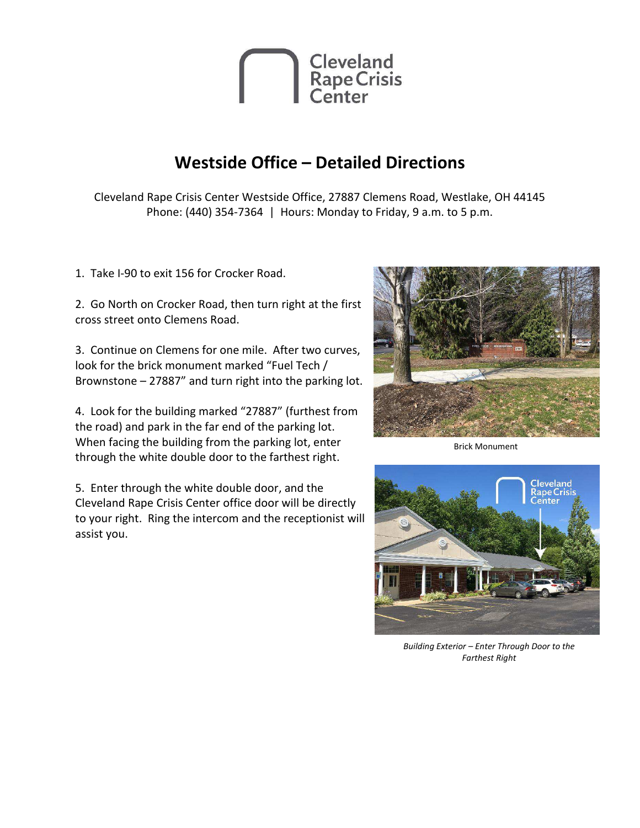

### **Westside Office - Detailed Directions**

Cleveland Rape Crisis Center Westside Office, 27887 Clemens Road, Westlake, OH 44145 Phone: (440) 354-7364 | Hours: Monday to Friday, 9 a.m. to 5 p.m.

1. Take I-90 to exit 156 for Crocker Road.

2. Go North on Crocker Road, then turn right at the first cross street onto Clemens Road.

3. Continue on Clemens for one mile. After two curves, look for the brick monument marked "Fuel Tech / Brownstone - 27887" and turn right into the parking lot.

4. Look for the building marked "27887" (furthest from the road) and park in the far end of the parking lot. When facing the building from the parking lot, enter through the white double door to the farthest right.

5. Enter through the white double door, and the Cleveland Rape Crisis Center office door will be directly to your right. Ring the intercom and the receptionist will assist you.



**Brick Monument** 



Building Exterior - Enter Through Door to the **Farthest Right**